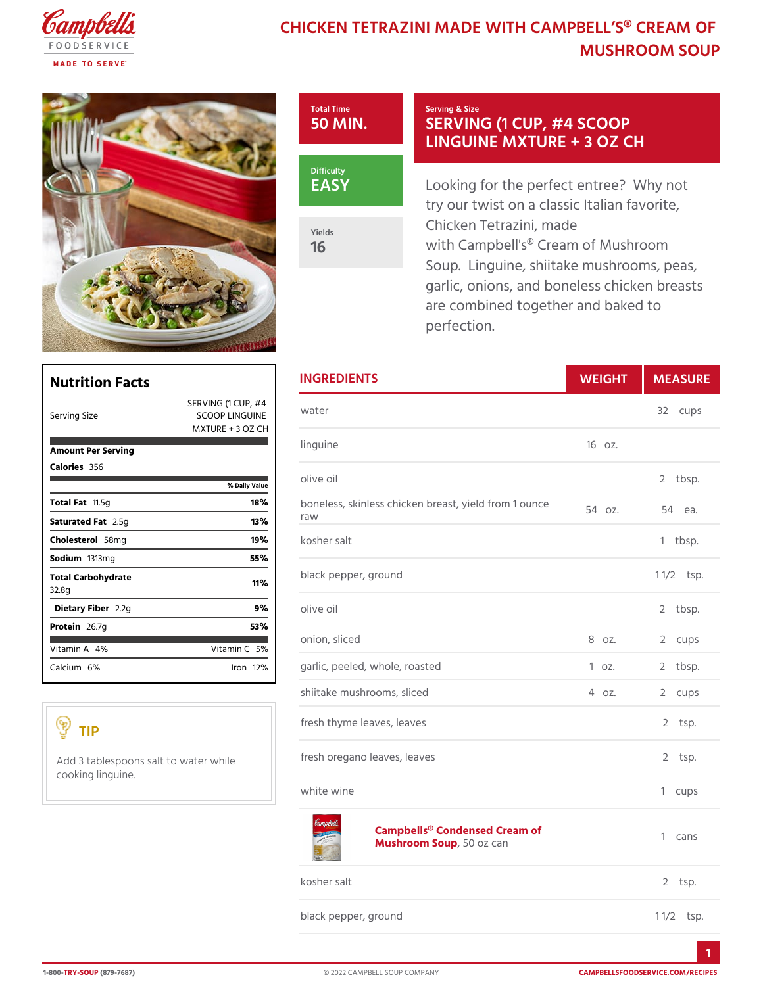## CHICKEN TETRAZINI MADE WITH CAMPE **MUSHROOM SO**



Serving & Size SERVING (1 CUP, #4 SC  $LINGUINE$  MXTURE + 3  $C$ 

Looking for the perfect entree? try our twist on a classic Italia Chicken Tetrazini, made with Campbell's® Cream of Mus Soup. Linguine, shiitake mushr garlic, onions, and boneless ch are combined together and bake perfection.

| <b>Nutrition Facts</b>                                                         | <b>INGREDIENTS</b>                                   | WEIGH MEASU  |
|--------------------------------------------------------------------------------|------------------------------------------------------|--------------|
| SERVING (1 CUP, #4<br>scoop Linguin Eater<br>Serving Size<br>$MXTURE + 3OC-CH$ |                                                      | 32 cups      |
| Amount Per Serving                                                             | linguine<br>$160z$ .                                 |              |
| $C$ alorie $856$<br>% Daily Value                                              | olive oil                                            | $2$ tbsp.    |
| Total Fat.5g<br>18%                                                            | boneless, skinless chicken breast, yield from 54 ea. |              |
| Saturated 2F. 5 tg<br>13%                                                      | r a w                                                |              |
| Choleste5&mq<br>19%                                                            | kosher salt                                          | 1 tbsp.      |
| Sodium 313mg<br>55%                                                            |                                                      |              |
| Total Carbohydrate<br>11%<br>32.8g                                             | black pepper, ground                                 | $1 \t1/2sp.$ |
| Dietary F2ib2eg<br>9%                                                          | olive oil                                            | 2 tbsp.      |
| Protei <sub>26.7g</sub><br>53%                                                 | onion, sliced<br>8 oz.                               | 2 cups       |
| Vitamin4 $A_0$<br>Vitamin5 <sup>o</sup>                                        |                                                      |              |
| $C$ alcium <sup>%</sup><br>$l$ ron 12 $%$                                      | garlic, peeled, whole, roasted<br>1 oz.              | 2 tbsp.      |
|                                                                                | shiitake mushrooms, sliced<br>40z.                   | 2 cups       |
| TIP                                                                            | fresh thyme leaves, leaves                           | $2$ tsp.     |
| cooking linguine.                                                              |                                                      | $2$ tsp.     |
|                                                                                | white wine                                           | 1 cups       |
|                                                                                | Campbells® Condensed Cream of<br>Mushroom S50poz can | 1 cans       |
|                                                                                | kosher salt                                          | $2$ tsp.     |

black pepper, ground

1  $1/2$  sp.